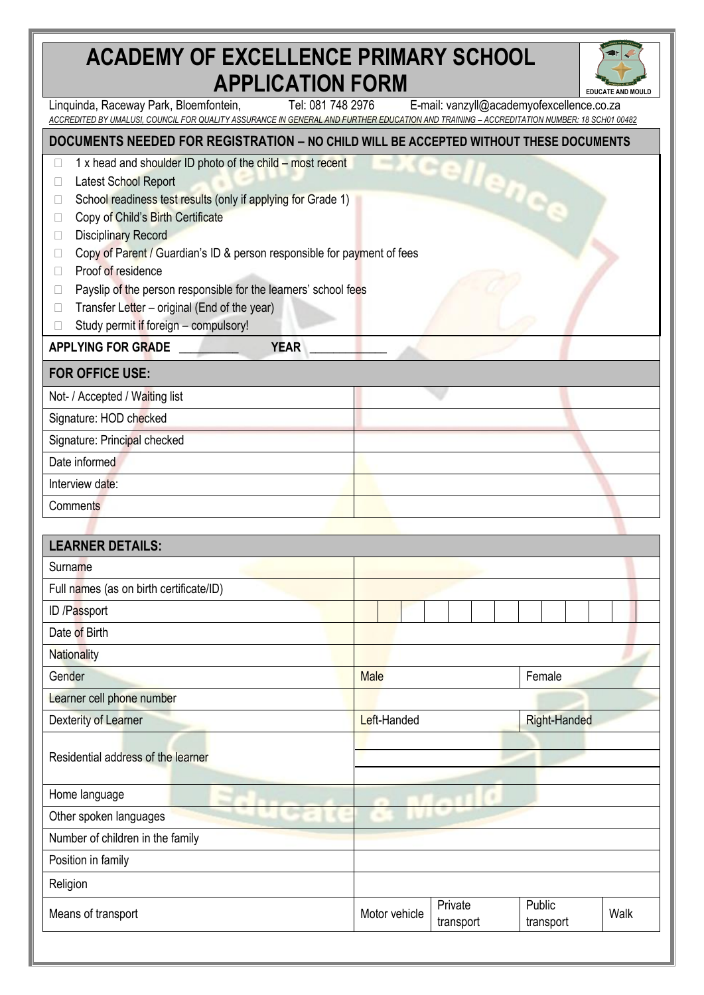## **ACADEMY OF EXCELLENCE PRIMARY SCHOOL APPLICATION FORM**



| AF F LIVA HVIY I VINII                                                                                                                                                                                                                                                                                                                                                                                                                                                                                          |               |                                           |                     | <b>EDUCATE AND MOULD</b> |
|-----------------------------------------------------------------------------------------------------------------------------------------------------------------------------------------------------------------------------------------------------------------------------------------------------------------------------------------------------------------------------------------------------------------------------------------------------------------------------------------------------------------|---------------|-------------------------------------------|---------------------|--------------------------|
| Tel: 081 748 2976<br>Linguinda, Raceway Park, Bloemfontein,<br>ACCREDITED BY UMALUSI, COUNCIL FOR QUALITY ASSURANCE IN GENERAL AND FURTHER EDUCATION AND TRAINING - ACCREDITATION NUMBER: 18 SCH01 00482                                                                                                                                                                                                                                                                                                        |               | E-mail: vanzyll@academyofexcellence.co.za |                     |                          |
| DOCUMENTS NEEDED FOR REGISTRATION - NO CHILD WILL BE ACCEPTED WITHOUT THESE DOCUMENTS                                                                                                                                                                                                                                                                                                                                                                                                                           |               |                                           |                     |                          |
| 1 x head and shoulder ID photo of the child – most recent<br>Latest School Report<br>School readiness test results (only if applying for Grade 1)<br>Copy of Child's Birth Certificate<br>Ш<br><b>Disciplinary Record</b><br>u<br>Copy of Parent / Guardian's ID & person responsible for payment of fees<br>П<br>Proof of residence<br>$\Box$<br>Payslip of the person responsible for the learners' school fees<br>⊔<br>Transfer Letter - original (End of the year)<br>Study permit if foreign - compulsory! |               | cellence                                  |                     |                          |
| <b>APPLYING FOR GRADE</b><br><b>YEAR</b>                                                                                                                                                                                                                                                                                                                                                                                                                                                                        |               |                                           |                     |                          |
| <b>FOR OFFICE USE:</b>                                                                                                                                                                                                                                                                                                                                                                                                                                                                                          |               |                                           |                     |                          |
| Not- / Accepted / Waiting list                                                                                                                                                                                                                                                                                                                                                                                                                                                                                  |               |                                           |                     |                          |
| Signature: HOD checked                                                                                                                                                                                                                                                                                                                                                                                                                                                                                          |               |                                           |                     |                          |
| Signature: Principal checked                                                                                                                                                                                                                                                                                                                                                                                                                                                                                    |               |                                           |                     |                          |
| Date informed                                                                                                                                                                                                                                                                                                                                                                                                                                                                                                   |               |                                           |                     |                          |
| Interview date:                                                                                                                                                                                                                                                                                                                                                                                                                                                                                                 |               |                                           |                     |                          |
| <b>Comments</b>                                                                                                                                                                                                                                                                                                                                                                                                                                                                                                 |               |                                           |                     |                          |
|                                                                                                                                                                                                                                                                                                                                                                                                                                                                                                                 |               |                                           |                     |                          |
| <b>LEARNER DETAILS:</b>                                                                                                                                                                                                                                                                                                                                                                                                                                                                                         |               |                                           |                     |                          |
| Surname                                                                                                                                                                                                                                                                                                                                                                                                                                                                                                         |               |                                           |                     |                          |
| Full names (as on birth certificate/ID)                                                                                                                                                                                                                                                                                                                                                                                                                                                                         |               |                                           |                     |                          |
| ID /Passport                                                                                                                                                                                                                                                                                                                                                                                                                                                                                                    |               |                                           |                     |                          |
| Date of Birth                                                                                                                                                                                                                                                                                                                                                                                                                                                                                                   |               |                                           |                     |                          |
| <b>Nationality</b>                                                                                                                                                                                                                                                                                                                                                                                                                                                                                              |               |                                           |                     |                          |
| Gender                                                                                                                                                                                                                                                                                                                                                                                                                                                                                                          | <b>Male</b>   |                                           | Female              |                          |
| Learner cell phone number                                                                                                                                                                                                                                                                                                                                                                                                                                                                                       |               |                                           |                     |                          |
| Dexterity of Learner                                                                                                                                                                                                                                                                                                                                                                                                                                                                                            | Left-Handed   |                                           | <b>Right-Handed</b> |                          |
| Residential address of the learner                                                                                                                                                                                                                                                                                                                                                                                                                                                                              |               |                                           |                     |                          |
| Home language                                                                                                                                                                                                                                                                                                                                                                                                                                                                                                   |               |                                           |                     |                          |
| Other spoken languages                                                                                                                                                                                                                                                                                                                                                                                                                                                                                          |               |                                           |                     |                          |
| Number of children in the family                                                                                                                                                                                                                                                                                                                                                                                                                                                                                |               |                                           |                     |                          |
| Position in family                                                                                                                                                                                                                                                                                                                                                                                                                                                                                              |               |                                           |                     |                          |
| Religion                                                                                                                                                                                                                                                                                                                                                                                                                                                                                                        |               |                                           |                     |                          |
| Means of transport                                                                                                                                                                                                                                                                                                                                                                                                                                                                                              | Motor vehicle | Private<br>transport                      | Public<br>transport | Walk                     |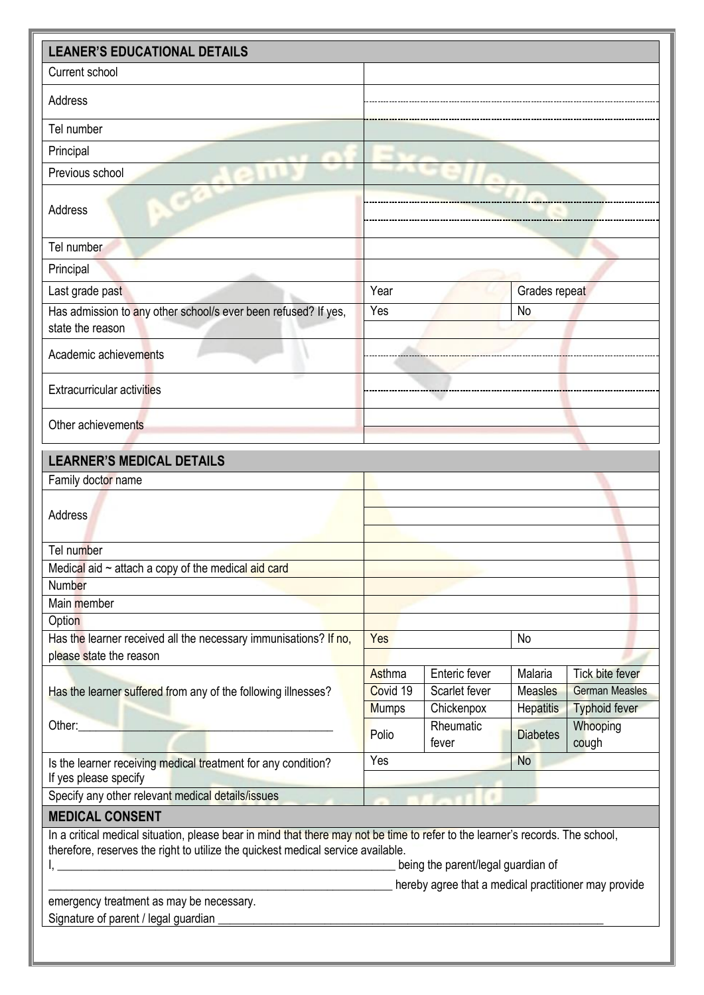| <b>LEANER'S EDUCATIONAL DETAILS</b>                                                                                                                                                                                            |              |                                                      |                  |                        |  |
|--------------------------------------------------------------------------------------------------------------------------------------------------------------------------------------------------------------------------------|--------------|------------------------------------------------------|------------------|------------------------|--|
| Current school                                                                                                                                                                                                                 |              |                                                      |                  |                        |  |
| Address                                                                                                                                                                                                                        |              |                                                      |                  |                        |  |
|                                                                                                                                                                                                                                |              |                                                      |                  |                        |  |
| Tel number                                                                                                                                                                                                                     |              |                                                      |                  |                        |  |
| Principal                                                                                                                                                                                                                      |              |                                                      |                  |                        |  |
| Previous school                                                                                                                                                                                                                |              |                                                      |                  |                        |  |
| Address                                                                                                                                                                                                                        |              |                                                      |                  |                        |  |
| Tel number                                                                                                                                                                                                                     |              |                                                      |                  |                        |  |
| Principal                                                                                                                                                                                                                      |              |                                                      |                  |                        |  |
| Last grade past                                                                                                                                                                                                                | Year         |                                                      | Grades repeat    |                        |  |
| Has admission to any other school/s ever been refused? If yes,<br>state the reason                                                                                                                                             | Yes          |                                                      | No               |                        |  |
| Academic achievements                                                                                                                                                                                                          |              |                                                      |                  |                        |  |
| <b>Extracurricular activities</b>                                                                                                                                                                                              |              |                                                      |                  |                        |  |
| Other achievements                                                                                                                                                                                                             |              |                                                      |                  |                        |  |
| <b>LEARNER'S MEDICAL DETAILS</b>                                                                                                                                                                                               |              |                                                      |                  |                        |  |
| Family doctor name                                                                                                                                                                                                             |              |                                                      |                  |                        |  |
| Address                                                                                                                                                                                                                        |              |                                                      |                  |                        |  |
| Tel number                                                                                                                                                                                                                     |              |                                                      |                  |                        |  |
| Medical aid $\sim$ attach a copy of the medical aid card                                                                                                                                                                       |              |                                                      |                  |                        |  |
| Number                                                                                                                                                                                                                         |              |                                                      |                  |                        |  |
| Main member                                                                                                                                                                                                                    |              |                                                      |                  |                        |  |
| Option<br>Has the learner received all the necessary immunisations? If no,                                                                                                                                                     | Yes          |                                                      | No               |                        |  |
| please state the reason                                                                                                                                                                                                        |              |                                                      |                  |                        |  |
|                                                                                                                                                                                                                                | Asthma       | Enteric fever                                        | Malaria          | <b>Tick bite fever</b> |  |
| Has the learner suffered from any of the following illnesses?                                                                                                                                                                  | Covid 19     | Scarlet fever                                        | Measles          | <b>German Measles</b>  |  |
|                                                                                                                                                                                                                                | <b>Mumps</b> | Chickenpox                                           | <b>Hepatitis</b> | <b>Typhoid fever</b>   |  |
| Other: when the contract of the contract of the contract of the contract of the contract of the contract of the contract of the contract of the contract of the contract of the contract of the contract of the contract of th | Polio        | Rheumatic<br>fever                                   | <b>Diabetes</b>  | Whooping<br>cough      |  |
| Is the learner receiving medical treatment for any condition?<br>If yes please specify                                                                                                                                         | Yes          |                                                      | <b>No</b>        |                        |  |
| Specify any other relevant medical details/issues                                                                                                                                                                              |              |                                                      |                  |                        |  |
| <b>MEDICAL CONSENT</b>                                                                                                                                                                                                         |              |                                                      |                  |                        |  |
| In a critical medical situation, please bear in mind that there may not be time to refer to the learner's records. The school,<br>therefore, reserves the right to utilize the quickest medical service available.             |              |                                                      |                  |                        |  |
|                                                                                                                                                                                                                                |              | being the parent/legal guardian of                   |                  |                        |  |
| emergency treatment as may be necessary.                                                                                                                                                                                       |              | hereby agree that a medical practitioner may provide |                  |                        |  |
| Signature of parent / legal guardian                                                                                                                                                                                           |              |                                                      |                  |                        |  |
|                                                                                                                                                                                                                                |              |                                                      |                  |                        |  |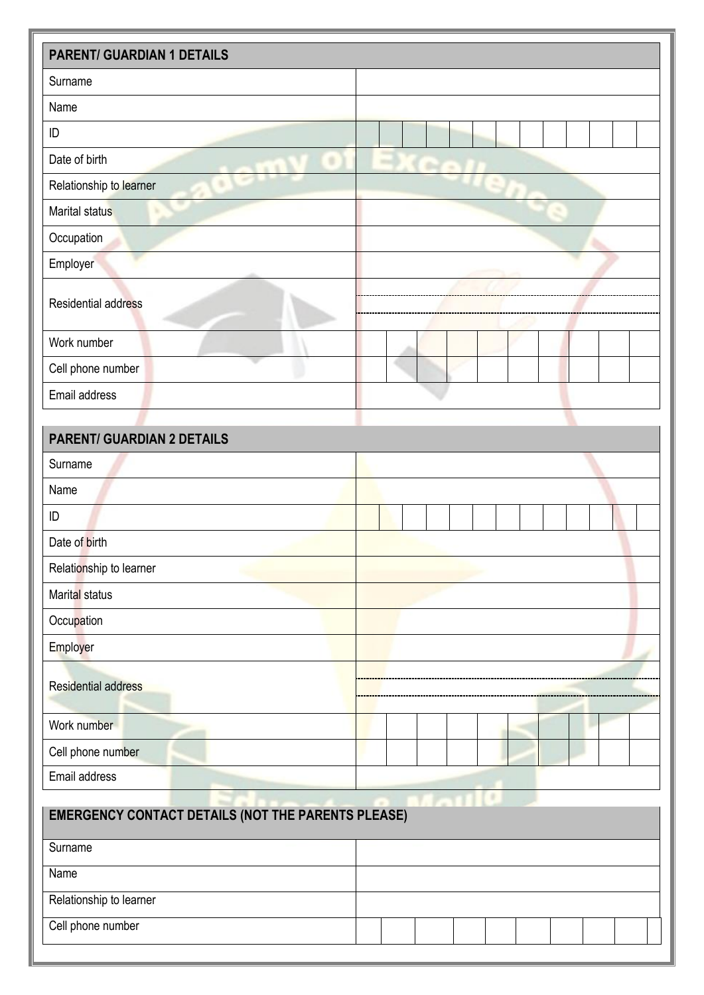| <b>PARENT/ GUARDIAN 1 DETAILS</b> |                    |  |  |  |
|-----------------------------------|--------------------|--|--|--|
| Surname                           |                    |  |  |  |
| Name                              |                    |  |  |  |
| ID                                |                    |  |  |  |
| Date of birth<br>٠<br>٠           | ٠<br>$\rightarrow$ |  |  |  |
| ٠<br>Relationship to learner      | ۰                  |  |  |  |
| Marital status                    |                    |  |  |  |
| Occupation                        |                    |  |  |  |
| Employer                          |                    |  |  |  |
| Residential address               |                    |  |  |  |
| Work number                       |                    |  |  |  |
| Cell phone number                 |                    |  |  |  |
| Email address                     |                    |  |  |  |
|                                   |                    |  |  |  |
| <b>PARENT/ GUARDIAN 2 DETAILS</b> |                    |  |  |  |
| Surname                           |                    |  |  |  |
| Name                              |                    |  |  |  |
| ID                                |                    |  |  |  |
| Date of birth                     |                    |  |  |  |
| Relationship to learner           |                    |  |  |  |

| . .                        |  |
|----------------------------|--|
| Marital status             |  |
| Occupation                 |  |
| Employer                   |  |
| <b>Residential address</b> |  |
| Work number                |  |
| Cell phone number          |  |
| Email address              |  |

| <b>EMERGENCY CONTACT DETAILS (NOT THE PARENTS PLEASE)</b> |  |  |  |  |  |
|-----------------------------------------------------------|--|--|--|--|--|
| Surname                                                   |  |  |  |  |  |
| Name                                                      |  |  |  |  |  |
| Relationship to learner                                   |  |  |  |  |  |
| Cell phone number                                         |  |  |  |  |  |

. . . . . . . .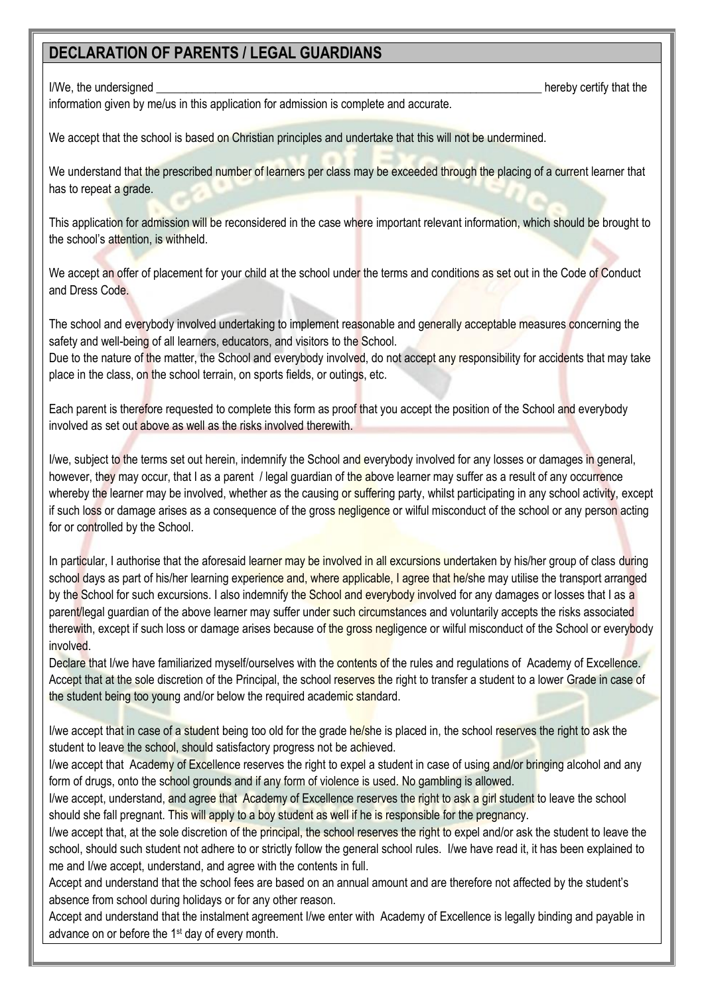## **DECLARATION OF PARENTS / LEGAL GUARDIANS**

I/We, the undersigned **Exercise 2** and the undersigned and the set of the set of the set of the set of the set of the set of the set of the set of the set of the set of the set of the set of the set of the set of the set o

information given by me/us in this application for admission is complete and accurate.

We accept that the school is based on Christian principles and undertake that this will not be undermined.

We understand that the prescribed number of learners per class may be exceeded through the placing of a current learner that has to repeat a grade.

This application for admission will be reconsidered in the case where important relevant information, which should be brought to the school's attention, is withheld.

We accept an offer of placement for your child at the school under the terms and conditions as set out in the Code of Conduct and Dress Code.

The school and everybody involved undertaking to implement reasonable and generally acceptable measures concerning the safety and well-being of all learners, educators, and visitors to the School.

Due to the nature of the matter, the School and everybody involved, do not accept any responsibility for accidents that may take place in the class, on the school terrain, on sports fields, or outings, etc.

Each parent is therefore requested to complete this form as proof that you accept the position of the School and everybody involved as set out above as well as the risks involved therewith.

I/we, subject to the terms set out herein, indemnify the School and everybody involved for any losses or damages in general, however, they may occur, that I as a parent / legal guardian of the above learner may suffer as a result of any occurrence whereby the learner may be involved, whether as the causing or suffering party, whilst participating in any school activity, except if such loss or damage arises as a consequence of the gross negligence or wilful misconduct of the school or any person acting for or controlled by the School.

In particular, I authorise that the aforesaid learner may be involved in all excursions undertaken by his/her group of class during school days as part of his/her learning experience and, where applicable, I agree that he/she may utilise the transport arranged by the School for such excursions. I also indemnify the School and everybody involved for any damages or losses that I as a parent/legal guardian of the above learner may suffer under such circumstances and voluntarily accepts the risks associated therewith, except if such loss or damage arises because of the gross negligence or wilful misconduct of the School or everybody involved.

Declare that I/we have familiarized myself/ourselves with the contents of the rules and regulations of Academy of Excellence. Accept that at the sole discretion of the Principal, the school reserves the right to transfer a student to a lower Grade in case of the student being too young and/or below the required academic standard.

I/we accept that in case of a student being too old for the grade he/she is placed in, the school reserves the right to ask the student to leave the school, should satisfactory progress not be achieved.

I/we accept that Academy of Excellence reserves the right to expel a student in case of using and/or bringing alcohol and any form of drugs, onto the school grounds and if any form of violence is used. No gambling is allowed.

I/we accept, understand, and agree that Academy of Excellence reserves the right to ask a girl student to leave the school should she fall pregnant. This will apply to a boy student as well if he is responsible for the pregnancy.

I/we accept that, at the sole discretion of the principal, the school reserves the right to expel and/or ask the student to leave the school, should such student not adhere to or strictly follow the general school rules. I/we have read it, it has been explained to me and I/we accept, understand, and agree with the contents in full.

Accept and understand that the school fees are based on an annual amount and are therefore not affected by the student's absence from school during holidays or for any other reason.

Accept and understand that the instalment agreement I/we enter with Academy of Excellence is legally binding and payable in advance on or before the 1<sup>st</sup> day of every month.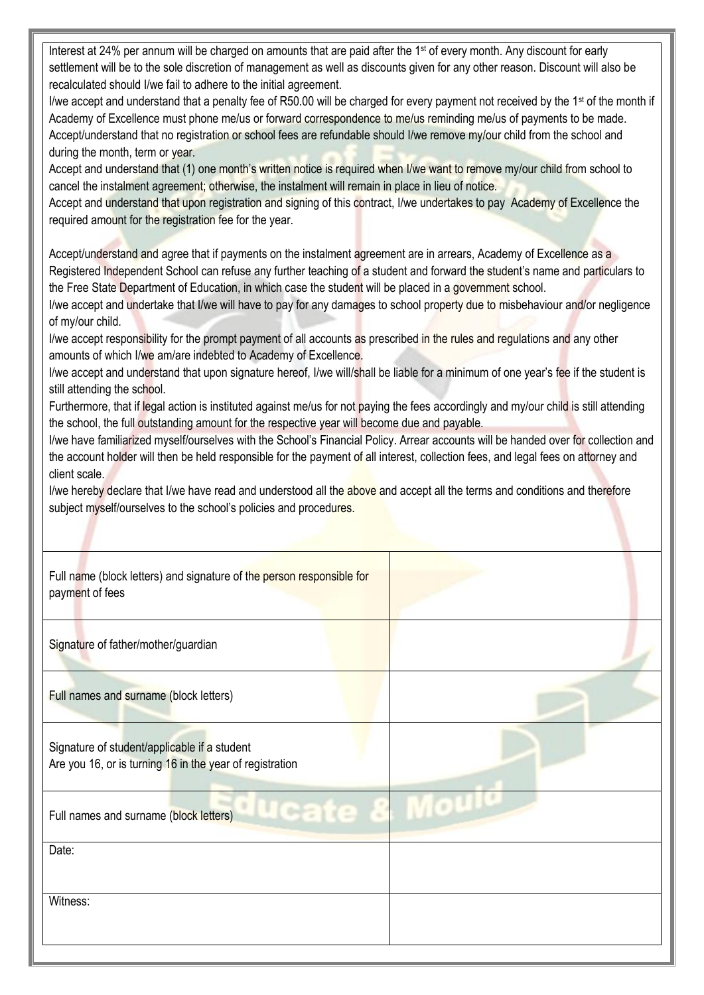| Interest at 24% per annum will be charged on amounts that are paid after the 1 <sup>st</sup> of every month. Any discount for early<br>settlement will be to the sole discretion of management as well as discounts given for any other reason. Discount will also be<br>recalculated should I/we fail to adhere to the initial agreement.<br>I/we accept and understand that a penalty fee of R50.00 will be charged for every payment not received by the 1 <sup>st</sup> of the month if<br>Academy of Excellence must phone me/us or forward correspondence to me/us reminding me/us of payments to be made.<br>Accept/understand that no registration or school fees are refundable should I/we remove my/our child from the school and<br>during the month, term or year.<br>Accept and understand that (1) one month's written notice is required when I/we want to remove my/our child from school to<br>cancel the instalment agreement; otherwise, the instalment will remain in place in lieu of notice.<br>Accept and understand that upon registration and signing of this contract, I/we undertakes to pay Academy of Excellence the<br>required amount for the registration fee for the year.<br>Accept/understand and agree that if payments on the instalment agreement are in arrears, Academy of Excellence as a<br>Registered Independent School can refuse any further teaching of a student and forward the student's name and particulars to<br>the Free State Department of Education, in which case the student will be placed in a government school.<br>I/we accept and undertake that I/we will have to pay for any damages to school property due to misbehaviour and/or negligence<br>of my/our child.<br>I/we accept responsibility for the prompt payment of all accounts as prescribed in the rules and regulations and any other<br>amounts of which I/we am/are indebted to Academy of Excellence.<br>I/we accept and understand that upon signature hereof, I/we will/shall be liable for a minimum of one year's fee if the student is<br>still attending the school.<br>Furthermore, that if legal action is instituted against me/us for not paying the fees accordingly and my/our child is still attending<br>the school, the full outstanding amount for the respective year will become due and payable.<br>I/we have familiarized myself/ourselves with the School's Financial Policy. Arrear accounts will be handed over for collection and<br>the account holder will then be held responsible for the payment of all interest, collection fees, and legal fees on attorney and<br>client scale. |  |
|-------------------------------------------------------------------------------------------------------------------------------------------------------------------------------------------------------------------------------------------------------------------------------------------------------------------------------------------------------------------------------------------------------------------------------------------------------------------------------------------------------------------------------------------------------------------------------------------------------------------------------------------------------------------------------------------------------------------------------------------------------------------------------------------------------------------------------------------------------------------------------------------------------------------------------------------------------------------------------------------------------------------------------------------------------------------------------------------------------------------------------------------------------------------------------------------------------------------------------------------------------------------------------------------------------------------------------------------------------------------------------------------------------------------------------------------------------------------------------------------------------------------------------------------------------------------------------------------------------------------------------------------------------------------------------------------------------------------------------------------------------------------------------------------------------------------------------------------------------------------------------------------------------------------------------------------------------------------------------------------------------------------------------------------------------------------------------------------------------------------------------------------------------------------------------------------------------------------------------------------------------------------------------------------------------------------------------------------------------------------------------------------------------------------------------------------------------------------------------------------------------------------------------------------------------------------------------------------------------------------------------------------------|--|
| I/we hereby declare that I/we have read and understood all the above and accept all the terms and conditions and therefore<br>subject myself/ourselves to the school's policies and procedures.                                                                                                                                                                                                                                                                                                                                                                                                                                                                                                                                                                                                                                                                                                                                                                                                                                                                                                                                                                                                                                                                                                                                                                                                                                                                                                                                                                                                                                                                                                                                                                                                                                                                                                                                                                                                                                                                                                                                                                                                                                                                                                                                                                                                                                                                                                                                                                                                                                                 |  |
|                                                                                                                                                                                                                                                                                                                                                                                                                                                                                                                                                                                                                                                                                                                                                                                                                                                                                                                                                                                                                                                                                                                                                                                                                                                                                                                                                                                                                                                                                                                                                                                                                                                                                                                                                                                                                                                                                                                                                                                                                                                                                                                                                                                                                                                                                                                                                                                                                                                                                                                                                                                                                                                 |  |
| Full name (block letters) and signature of the person responsible for<br>payment of fees                                                                                                                                                                                                                                                                                                                                                                                                                                                                                                                                                                                                                                                                                                                                                                                                                                                                                                                                                                                                                                                                                                                                                                                                                                                                                                                                                                                                                                                                                                                                                                                                                                                                                                                                                                                                                                                                                                                                                                                                                                                                                                                                                                                                                                                                                                                                                                                                                                                                                                                                                        |  |
| Signature of father/mother/guardian                                                                                                                                                                                                                                                                                                                                                                                                                                                                                                                                                                                                                                                                                                                                                                                                                                                                                                                                                                                                                                                                                                                                                                                                                                                                                                                                                                                                                                                                                                                                                                                                                                                                                                                                                                                                                                                                                                                                                                                                                                                                                                                                                                                                                                                                                                                                                                                                                                                                                                                                                                                                             |  |
| Full names and surname (block letters)                                                                                                                                                                                                                                                                                                                                                                                                                                                                                                                                                                                                                                                                                                                                                                                                                                                                                                                                                                                                                                                                                                                                                                                                                                                                                                                                                                                                                                                                                                                                                                                                                                                                                                                                                                                                                                                                                                                                                                                                                                                                                                                                                                                                                                                                                                                                                                                                                                                                                                                                                                                                          |  |
| Signature of student/applicable if a student<br>Are you 16, or is turning 16 in the year of registration                                                                                                                                                                                                                                                                                                                                                                                                                                                                                                                                                                                                                                                                                                                                                                                                                                                                                                                                                                                                                                                                                                                                                                                                                                                                                                                                                                                                                                                                                                                                                                                                                                                                                                                                                                                                                                                                                                                                                                                                                                                                                                                                                                                                                                                                                                                                                                                                                                                                                                                                        |  |
| Full names and surname (block letters)                                                                                                                                                                                                                                                                                                                                                                                                                                                                                                                                                                                                                                                                                                                                                                                                                                                                                                                                                                                                                                                                                                                                                                                                                                                                                                                                                                                                                                                                                                                                                                                                                                                                                                                                                                                                                                                                                                                                                                                                                                                                                                                                                                                                                                                                                                                                                                                                                                                                                                                                                                                                          |  |
| Date:                                                                                                                                                                                                                                                                                                                                                                                                                                                                                                                                                                                                                                                                                                                                                                                                                                                                                                                                                                                                                                                                                                                                                                                                                                                                                                                                                                                                                                                                                                                                                                                                                                                                                                                                                                                                                                                                                                                                                                                                                                                                                                                                                                                                                                                                                                                                                                                                                                                                                                                                                                                                                                           |  |
| Witness:                                                                                                                                                                                                                                                                                                                                                                                                                                                                                                                                                                                                                                                                                                                                                                                                                                                                                                                                                                                                                                                                                                                                                                                                                                                                                                                                                                                                                                                                                                                                                                                                                                                                                                                                                                                                                                                                                                                                                                                                                                                                                                                                                                                                                                                                                                                                                                                                                                                                                                                                                                                                                                        |  |
|                                                                                                                                                                                                                                                                                                                                                                                                                                                                                                                                                                                                                                                                                                                                                                                                                                                                                                                                                                                                                                                                                                                                                                                                                                                                                                                                                                                                                                                                                                                                                                                                                                                                                                                                                                                                                                                                                                                                                                                                                                                                                                                                                                                                                                                                                                                                                                                                                                                                                                                                                                                                                                                 |  |